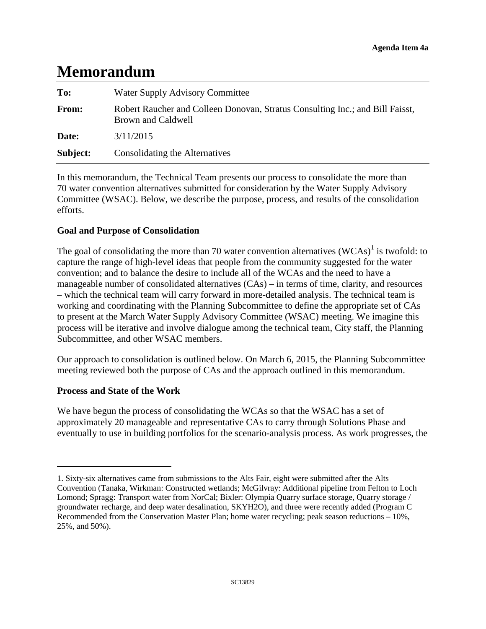# **Memorandum**

| To:      | <b>Water Supply Advisory Committee</b>                                                              |
|----------|-----------------------------------------------------------------------------------------------------|
| From:    | Robert Raucher and Colleen Donovan, Stratus Consulting Inc.; and Bill Faisst,<br>Brown and Caldwell |
| Date:    | 3/11/2015                                                                                           |
| Subject: | Consolidating the Alternatives                                                                      |

In this memorandum, the Technical Team presents our process to consolidate the more than 70 water convention alternatives submitted for consideration by the Water Supply Advisory Committee (WSAC). Below, we describe the purpose, process, and results of the consolidation efforts.

# **Goal and Purpose of Consolidation**

The goal of consolidating the more than 70 water convention alternatives  $(WCAs)^{1}$  $(WCAs)^{1}$  $(WCAs)^{1}$  is twofold: to capture the range of high-level ideas that people from the community suggested for the water convention; and to balance the desire to include all of the WCAs and the need to have a manageable number of consolidated alternatives (CAs) – in terms of time, clarity, and resources – which the technical team will carry forward in more-detailed analysis. The technical team is working and coordinating with the Planning Subcommittee to define the appropriate set of CAs to present at the March Water Supply Advisory Committee (WSAC) meeting. We imagine this process will be iterative and involve dialogue among the technical team, City staff, the Planning Subcommittee, and other WSAC members.

Our approach to consolidation is outlined below. On March 6, 2015, the Planning Subcommittee meeting reviewed both the purpose of CAs and the approach outlined in this memorandum.

# **Process and State of the Work**

 $\overline{a}$ 

We have begun the process of consolidating the WCAs so that the WSAC has a set of approximately 20 manageable and representative CAs to carry through Solutions Phase and eventually to use in building portfolios for the scenario-analysis process. As work progresses, the

<span id="page-0-0"></span><sup>1.</sup> Sixty-six alternatives came from submissions to the Alts Fair, eight were submitted after the Alts Convention (Tanaka, Wirkman: Constructed wetlands; McGilvray: Additional pipeline from Felton to Loch Lomond; Spragg: Transport water from NorCal; Bixler: Olympia Quarry surface storage, Quarry storage / groundwater recharge, and deep water desalination, SKYH2O), and three were recently added (Program C Recommended from the Conservation Master Plan; home water recycling; peak season reductions – 10%, 25%, and 50%).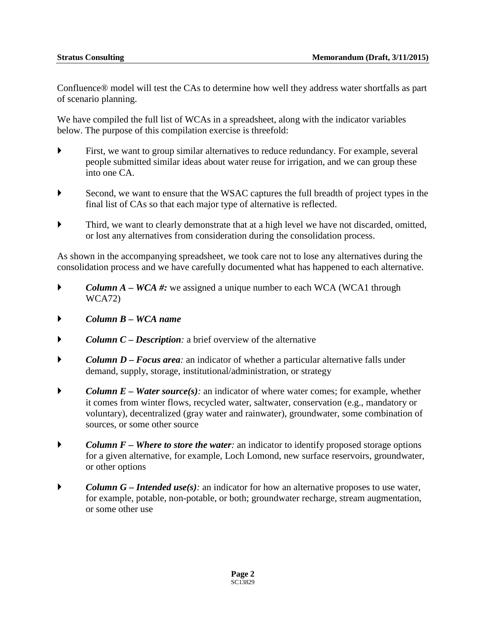Confluence® model will test the CAs to determine how well they address water shortfalls as part of scenario planning.

We have compiled the full list of WCAs in a spreadsheet, along with the indicator variables below. The purpose of this compilation exercise is threefold:

- First, we want to group similar alternatives to reduce redundancy. For example, several people submitted similar ideas about water reuse for irrigation, and we can group these into one CA.
- Second, we want to ensure that the WSAC captures the full breadth of project types in the final list of CAs so that each major type of alternative is reflected.
- Third, we want to clearly demonstrate that at a high level we have not discarded, omitted, or lost any alternatives from consideration during the consolidation process.

As shown in the accompanying spreadsheet, we took care not to lose any alternatives during the consolidation process and we have carefully documented what has happened to each alternative.

- **Column A WCA #:** we assigned a unique number to each WCA (WCA1 through WCA72)
- *Column B – WCA name*
- *Column C – Description:* a brief overview of the alternative
- *Column D – Focus area:* an indicator of whether a particular alternative falls under demand, supply, storage, institutional/administration, or strategy
- **Column E** *Water source(s)*: an indicator of where water comes; for example, whether it comes from winter flows, recycled water, saltwater, conservation (e.g., mandatory or voluntary), decentralized (gray water and rainwater), groundwater, some combination of sources, or some other source
- Column F Where to store the water: an indicator to identify proposed storage options for a given alternative, for example, Loch Lomond, new surface reservoirs, groundwater, or other options
- **Column G Intended use**(s): an indicator for how an alternative proposes to use water, for example, potable, non-potable, or both; groundwater recharge, stream augmentation, or some other use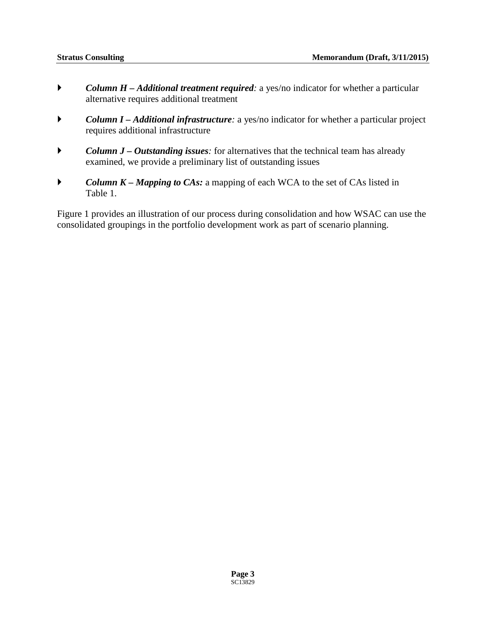- *Column H – Additional treatment required:* a yes/no indicator for whether a particular alternative requires additional treatment
- *Column I – Additional infrastructure:* a yes/no indicator for whether a particular project requires additional infrastructure
- *Column J – Outstanding issues:* for alternatives that the technical team has already examined, we provide a preliminary list of outstanding issues
- **Column K** *Mapping to CAs:* a mapping of each WCA to the set of CAs listed in Table 1.

Figure 1 provides an illustration of our process during consolidation and how WSAC can use the consolidated groupings in the portfolio development work as part of scenario planning.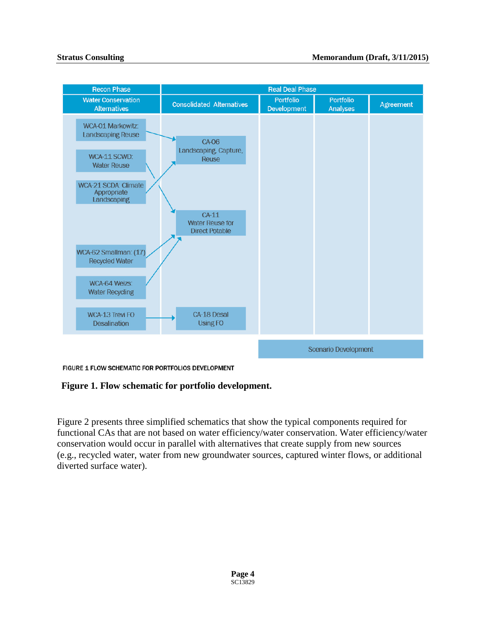

FIGURE 1 FLOW SCHEMATIC FOR PORTFOLIOS DEVELOPMENT

# **Figure 1. Flow schematic for portfolio development.**

Figure 2 presents three simplified schematics that show the typical components required for functional CAs that are not based on water efficiency/water conservation. Water efficiency/water conservation would occur in parallel with alternatives that create supply from new sources (e.g., recycled water, water from new groundwater sources, captured winter flows, or additional diverted surface water).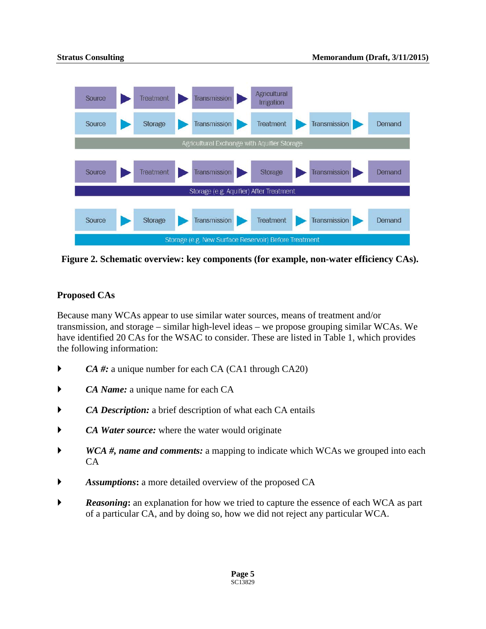

**Figure 2. Schematic overview: key components (for example, non-water efficiency CAs).**

# **Proposed CAs**

Because many WCAs appear to use similar water sources, means of treatment and/or transmission, and storage – similar high-level ideas – we propose grouping similar WCAs. We have identified 20 CAs for the WSAC to consider. These are listed in Table 1, which provides the following information:

- ▶ <i>CA #:</i> a unique number for each CA (CA1 through CA20)
- **CA** Name: a unique name for each CA
- *CA Description:* a brief description of what each CA entails
- *CA Water source:* where the water would originate
- *WCA #, name and comments:* a mapping to indicate which WCAs we grouped into each CA
- **Assumptions:** a more detailed overview of the proposed CA
- **Reasoning:** an explanation for how we tried to capture the essence of each WCA as part of a particular CA, and by doing so, how we did not reject any particular WCA.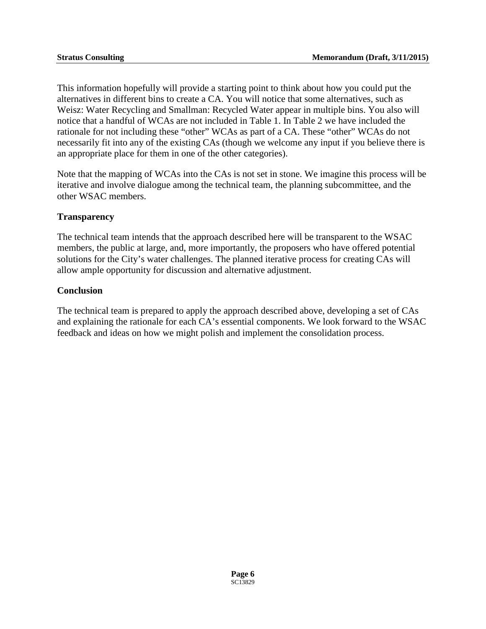This information hopefully will provide a starting point to think about how you could put the alternatives in different bins to create a CA. You will notice that some alternatives, such as Weisz: Water Recycling and Smallman: Recycled Water appear in multiple bins. You also will notice that a handful of WCAs are not included in Table 1. In Table 2 we have included the rationale for not including these "other" WCAs as part of a CA. These "other" WCAs do not necessarily fit into any of the existing CAs (though we welcome any input if you believe there is an appropriate place for them in one of the other categories).

Note that the mapping of WCAs into the CAs is not set in stone. We imagine this process will be iterative and involve dialogue among the technical team, the planning subcommittee, and the other WSAC members.

#### **Transparency**

The technical team intends that the approach described here will be transparent to the WSAC members, the public at large, and, more importantly, the proposers who have offered potential solutions for the City's water challenges. The planned iterative process for creating CAs will allow ample opportunity for discussion and alternative adjustment.

#### **Conclusion**

The technical team is prepared to apply the approach described above, developing a set of CAs and explaining the rationale for each CA's essential components. We look forward to the WSAC feedback and ideas on how we might polish and implement the consolidation process.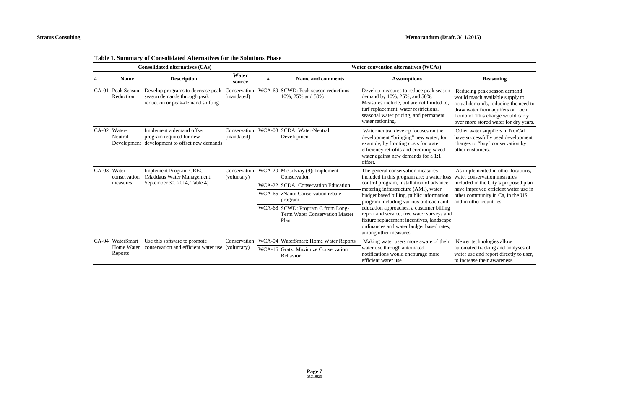|             |                                        | <b>Consolidated alternatives (CAs)</b>                                                                |                             | <b>Water convention alternatives (WCAs)</b> |                                                                                    |                                                                                                                                                                                                                           |                                         |  |
|-------------|----------------------------------------|-------------------------------------------------------------------------------------------------------|-----------------------------|---------------------------------------------|------------------------------------------------------------------------------------|---------------------------------------------------------------------------------------------------------------------------------------------------------------------------------------------------------------------------|-----------------------------------------|--|
| #           | <b>Name</b>                            | <b>Description</b>                                                                                    | Water<br>source             | #                                           | <b>Name and comments</b>                                                           | <b>Assumptions</b>                                                                                                                                                                                                        |                                         |  |
|             | CA-01 Peak Season<br>Reduction         | Develop programs to decrease peak<br>season demands through peak<br>reduction or peak-demand shifting | Conservation<br>(mandated)  |                                             | WCA-69 SCWD: Peak season reductions -<br>10%, 25% and 50%                          | Develop measures to reduce peak season<br>demand by 10%, 25%, and 50%.<br>Measures include, but are not limited to,<br>turf replacement, water restrictions,<br>seasonal water pricing, and permanent<br>water rationing. | Re<br>WOl<br>actu<br>dray<br>Lor<br>ove |  |
|             | CA-02 Water-<br>Neutral<br>Development | Implement a demand offset<br>program required for new<br>development to offset new demands            | Conservation<br>(mandated)  |                                             | WCA-03 SCDA: Water-Neutral<br>Development                                          | Water neutral develop focuses on the<br>development "bringing" new water, for<br>example, by fronting costs for water<br>efficiency retrofits and crediting saved<br>water against new demands for a 1:1<br>offset.       | Otl<br>hav<br>cha<br>othe               |  |
| CA-03 Water | conservation                           | <b>Implement Program CREC</b><br>(Maddaus Water Management,<br>September 30, 2014, Table 4)           | Conservation<br>(voluntary) |                                             | WCA-20 McGilvray (9): Implement<br>Conservation                                    | The general conservation measures<br>included in this program are: a water loss                                                                                                                                           | As<br>wat                               |  |
|             | measures                               |                                                                                                       |                             |                                             | WCA-22 SCDA: Conservation Education                                                | control program, installation of advance<br>metering infrastructure (AMI), water<br>budget based billing, public information<br>program including various outreach and                                                    | incl                                    |  |
|             |                                        |                                                                                                       |                             |                                             | WCA-65 zNano: Conservation rebate<br>program                                       |                                                                                                                                                                                                                           | hav<br>othe<br>and                      |  |
|             |                                        |                                                                                                       |                             |                                             | WCA-68 SCWD: Program C from Long-<br><b>Term Water Conservation Master</b><br>Plan | education approaches, a customer billing<br>report and service, free water surveys and<br>fixture replacement incentives, landscape<br>ordinances and water budget based rates,<br>among other measures.                  |                                         |  |
|             | CA-04 WaterSmart                       | Use this software to promote                                                                          | Conservation                |                                             | WCA-04 WaterSmart: Home Water Reports                                              | Making water users more aware of their                                                                                                                                                                                    | Ne                                      |  |
|             | Home Water<br>Reports                  | conservation and efficient water use (voluntary)                                                      |                             |                                             | WCA-16 Gratz: Maximize Conservation<br><b>Behavior</b>                             | water use through automated<br>notifications would encourage more<br>efficient water use                                                                                                                                  | auto<br>wat<br>to in                    |  |

**Table 1. Summary of Consolidated Alternatives for the Solutions Phase** 

#### **Reasoning**

educing peak season demand build match available supply to and demands, reducing the need to aw water from aquifers or Loch mond. This change would carry er more stored water for dry years.

ther water suppliers in NorCal ve successfully used development arges to "buy" conservation by ner customers.

s implemented in other locations, ter conservation measures luded in the City's proposed plan ve improved efficient water use in her community in Ca, in the US in other countries.

ewer technologies allow tomated tracking and analyses of ter use and report directly to user, increase their awareness.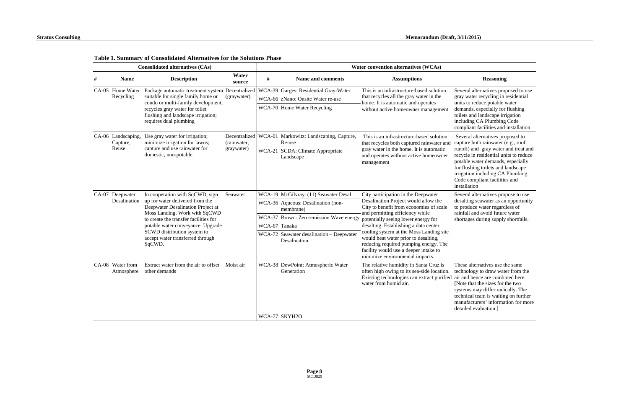eral alternatives proposed to use y water recycling in residential  $\frac{1}{x}$  to reduce potable water hands, especially for flushing ets and landscape irrigation luding CA Plumbing Code compliant facilities and installation

veral alternatives proposed to ture both rainwater (e.g., roof off) and gray water and treat and recycle in residential units to reduce able water demands, especially for flushing toilets and landscape irrigation including CA Plumbing Le compliant facilities and allation

eral alternatives propose to use alting seawater as an opportunity roduce water regardless of fall and avoid future water rtages during supply shortfalls.

se alternatives use the same anology to draw water from the and hence are combined here. te that the sizes for the two tems may differ radically. The nical team is waiting on further nufacturers' information for more ailed evaluation.]

| <b>Consolidated alternatives (CAs)</b>                                                    |                                                                 |                                                                                                                                                                                                                        |                              |               | <b>Water convention alternatives (WCAs)</b>       |                                                                                                                                                                   |                                                        |  |  |
|-------------------------------------------------------------------------------------------|-----------------------------------------------------------------|------------------------------------------------------------------------------------------------------------------------------------------------------------------------------------------------------------------------|------------------------------|---------------|---------------------------------------------------|-------------------------------------------------------------------------------------------------------------------------------------------------------------------|--------------------------------------------------------|--|--|
| #                                                                                         | <b>Name</b>                                                     | <b>Description</b>                                                                                                                                                                                                     | Water<br>source              | $\#$          | <b>Name and comments</b>                          | <b>Assumptions</b>                                                                                                                                                |                                                        |  |  |
|                                                                                           | CA-05 Home Water                                                | Package automatic treatment system Decentralized                                                                                                                                                                       |                              |               | WCA-39 Garges: Residential Gray-Water             | This is an infrastructure-based solution                                                                                                                          | Sev                                                    |  |  |
|                                                                                           | Recycling                                                       | suitable for single family home or<br>condo or multi-family development;                                                                                                                                               | (graywater)                  |               | WCA-66 zNano: Onsite Water re-use                 | that recycles all the gray water in the<br>home. It is automatic and operates                                                                                     | gray<br>unit                                           |  |  |
|                                                                                           |                                                                 | recycles gray water for toilet<br>flushing and landscape irrigation;<br>requires dual plumbing                                                                                                                         |                              |               | WCA-70 Home Water Recycling                       | without active homeowner management                                                                                                                               | dem<br>toile<br>incl<br>com                            |  |  |
|                                                                                           | CA-06 Landscaping,<br>Capture,                                  | Use gray water for irrigation;<br>minimize irrigation for lawns;                                                                                                                                                       | Decentralized<br>(rainwater, |               | WCA-01 Markowitz: Landscaping, Capture,<br>Re-use | This is an infrastructure-based solution<br>that recycles both captured rainwater and                                                                             | Sev<br>capt                                            |  |  |
|                                                                                           | capture and use rainwater for<br>Reuse<br>domestic, non-potable |                                                                                                                                                                                                                        | graywater)                   |               | WCA-21 SCDA: Climate Appropriate<br>Landscape     | gray water in the home. It is automatic<br>and operates without active homeowner<br>management                                                                    | runo<br>recy<br>pota<br>for f<br>irrig<br>Cod<br>insta |  |  |
|                                                                                           | CA-07 Deepwater                                                 | In cooperation with SqCWD, sign<br>up for water delivered from the<br>Deepwater Desalination Project at<br>Moss Landing. Work with SqCWD<br>to create the transfer facilities for<br>potable water conveyance. Upgrade | Seawater                     |               | WCA-19 McGilvray: (11) Seawater Desal             | City participation in the Deepwater                                                                                                                               | Sev                                                    |  |  |
|                                                                                           | Desalination                                                    |                                                                                                                                                                                                                        |                              |               | WCA-36 Aqueous: Desalination (non-<br>membrane)   | Desalination Project would allow the<br>City to benefit from economies of scale<br>and permitting efficiency while                                                | desa<br>to p<br>rain                                   |  |  |
|                                                                                           |                                                                 |                                                                                                                                                                                                                        |                              |               | WCA-37 Brown: Zero-emission Wave energy           | potentially seeing lower energy for<br>desalting. Establishing a data center                                                                                      | shor                                                   |  |  |
|                                                                                           |                                                                 |                                                                                                                                                                                                                        |                              | WCA-67 Tanaka |                                                   |                                                                                                                                                                   |                                                        |  |  |
| SCWD distribution system to<br>accept water transferred through<br>Desalination<br>SqCWD. | WCA-72 Seawater desalination - Deepwater                        | cooling system at the Moss Landing site<br>would heat water prior to desalting,<br>reducing required pumping energy. The<br>facility would use a deeper intake to<br>minimize environmental impacts.                   |                              |               |                                                   |                                                                                                                                                                   |                                                        |  |  |
|                                                                                           | CA-08 Water from<br>Atmosphere                                  | Extract water from the air to offset Moist air<br>other demands                                                                                                                                                        |                              |               | WCA-38 DewPoint: Atmospheric Water<br>Generation  | The relative humidity in Santa Cruz is<br>often high owing to its sea-side location.<br>Existing technologies can extract purified air a<br>water from humid air. | The<br>tech<br>[No]<br>syst<br>tech<br>man<br>deta     |  |  |
|                                                                                           |                                                                 |                                                                                                                                                                                                                        |                              |               | WCA-77 SKYH2O                                     |                                                                                                                                                                   |                                                        |  |  |

#### **Reasoning**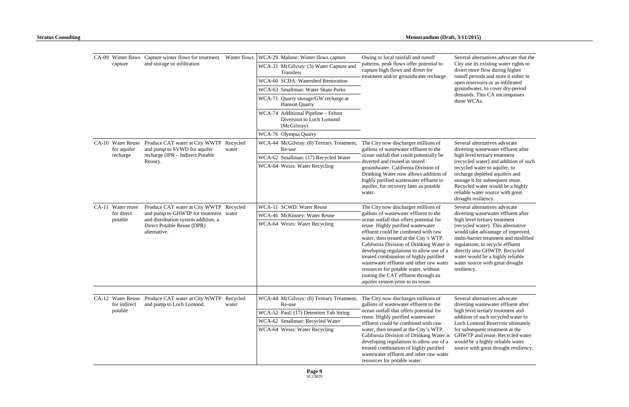|  |                                                                                                                                                     | CA-09 Winter flows Capture winter flows for treatment          | Winter flows                  | WCA-29 Malone: Winter flows capture                                                                                                                                                                                                                                                                                                                                                                                  | Owing to local rainfall and runoff                                                                                                                                                                                                                                                                                                                                              | Sev                                                                             |
|--|-----------------------------------------------------------------------------------------------------------------------------------------------------|----------------------------------------------------------------|-------------------------------|----------------------------------------------------------------------------------------------------------------------------------------------------------------------------------------------------------------------------------------------------------------------------------------------------------------------------------------------------------------------------------------------------------------------|---------------------------------------------------------------------------------------------------------------------------------------------------------------------------------------------------------------------------------------------------------------------------------------------------------------------------------------------------------------------------------|---------------------------------------------------------------------------------|
|  | capture                                                                                                                                             | and storage or infiltration                                    |                               | WCA-31 McGilvray: (3) Water Capture and<br>Transfers                                                                                                                                                                                                                                                                                                                                                                 | patterns, peak flows offer potential to<br>capture high flows and divert for                                                                                                                                                                                                                                                                                                    | City<br>dive                                                                    |
|  |                                                                                                                                                     |                                                                |                               | WCA-60 SCDA: Watershed Restoration                                                                                                                                                                                                                                                                                                                                                                                   | treatment and/or groundwater recharge.                                                                                                                                                                                                                                                                                                                                          | runo<br>ope:                                                                    |
|  |                                                                                                                                                     |                                                                |                               | WCA-63 Smallman: Water Skate Parks                                                                                                                                                                                                                                                                                                                                                                                   |                                                                                                                                                                                                                                                                                                                                                                                 | grou                                                                            |
|  |                                                                                                                                                     |                                                                |                               | WCA-71 Quarry storage/GW recharge at<br><b>Hanson Quarry</b>                                                                                                                                                                                                                                                                                                                                                         |                                                                                                                                                                                                                                                                                                                                                                                 | dem<br>thos                                                                     |
|  |                                                                                                                                                     |                                                                |                               | WCA-74 Additional Pipeline - Felton<br>Diversion to Loch Lomond<br>(McGilvray)                                                                                                                                                                                                                                                                                                                                       |                                                                                                                                                                                                                                                                                                                                                                                 |                                                                                 |
|  |                                                                                                                                                     |                                                                |                               | WCA-76 Olympia Quarry                                                                                                                                                                                                                                                                                                                                                                                                |                                                                                                                                                                                                                                                                                                                                                                                 |                                                                                 |
|  | CA-10 Water Reuse<br>for aquifer                                                                                                                    | Produce CAT water at City WWTP<br>and pump to SVWD for aquifer | Recycled<br>water             | WCA-44 McGilvray: (8) Tertiary Treatment,<br>Re-use                                                                                                                                                                                                                                                                                                                                                                  | The City now discharges millions of<br>gallons of wastewater effluent to the                                                                                                                                                                                                                                                                                                    | Sev<br>dive                                                                     |
|  | recharge                                                                                                                                            | recharge (IPR - Indirect Potable<br>Reuse).                    |                               | WCA-62 Smallman: (17) Recycled Water                                                                                                                                                                                                                                                                                                                                                                                 | ocean outfall that could potentially be<br>diverted and reused as stored                                                                                                                                                                                                                                                                                                        | high<br>(rec                                                                    |
|  |                                                                                                                                                     |                                                                |                               | WCA-64 Weizs: Water Recycling                                                                                                                                                                                                                                                                                                                                                                                        | groundwater. California Division of<br>Drinking Water now allows addition of<br>highly purified wastewater effluent to<br>aquifer, for recovery later as potable<br>water.                                                                                                                                                                                                      | recy<br>rech<br>stor<br>Rec<br>relia<br>drou                                    |
|  | CA-11 Water reuse                                                                                                                                   | Produce CAT water at City WWTP                                 | Recycled                      | WCA-11 SCWD: Water Reuse                                                                                                                                                                                                                                                                                                                                                                                             | The City now discharges millions of                                                                                                                                                                                                                                                                                                                                             | Sev<br>dive                                                                     |
|  | for direct<br>and pump to GHWTP for treatment water<br>and distribution system addition, a<br>potable<br>Direct Potable Reuse (DPR)<br>alternative. |                                                                |                               | WCA-46 McKinney: Water Reuse                                                                                                                                                                                                                                                                                                                                                                                         | gallons of wastewater effluent to the<br>ocean outfall that offers potential for                                                                                                                                                                                                                                                                                                |                                                                                 |
|  |                                                                                                                                                     |                                                                | WCA-64 Weizs: Water Recycling | reuse. Highly purified wastewater<br>effluent could be combined with raw<br>water, then treated at the City's WTP.<br>California Division of Drinking Water is<br>developing regulations to allow use of a<br>treated combination of highly purified<br>wastewater effluent and other raw water<br>resources for potable water, without<br>routing the CAT effluent through an<br>aquifer system prior to its reuse. | high<br>(rec<br>wot<br>mul<br>regu<br>dire<br>wat<br>wat<br>resi                                                                                                                                                                                                                                                                                                                |                                                                                 |
|  | CA-12 Water Reuse<br>for indirect<br>potable                                                                                                        | Produce CAT water at City WWTP<br>and pump to Loch Lomond.     | Recycled<br>water             | WCA-44 McGilvray: (8) Tertiary Treatment,<br>Re-use<br>WCA-52 Paul: (17) Detention Tub String<br>WCA-62 Smallman: Recycled Water<br>WCA-64 Weizs: Water Recycling                                                                                                                                                                                                                                                    | The City now discharges millions of<br>gallons of wastewater effluent to the<br>ocean outfall that offers potential for<br>reuse. Highly purified wastewater<br>effluent could be combined with raw<br>water, then treated at the City's WTP.<br>California Division of Drinking Water is<br>developing regulations to allow use of a<br>treated combination of highly purified | Sev<br>dive<br>high<br>add<br>Loc<br>for $\mathbf s$<br><b>GH</b><br>wou<br>sou |
|  |                                                                                                                                                     |                                                                |                               |                                                                                                                                                                                                                                                                                                                                                                                                                      | wastewater effluent and other raw water<br>resources for potable water.                                                                                                                                                                                                                                                                                                         |                                                                                 |

eral alternatives advocate that the y use its existing water rights to ert more flow during higher off periods and store it either in en reservoirs or as infiltrated undwater, to cover dry-period nands. This CA encompasses se WCAs.

veral alternatives advocate erting wastewater effluent after h level tertiary treatment cycled water) and addition of such <sub>v</sub>cled water to aquifer, to arge depleted aquifers and rage it for subsequent reuse. cycled water would be a highly reliable water source with great ught resiliency.

eral alternatives advocate erting wastewater effluent after h level tertiary treatment cycled water). This alternative Id take advantage of improved, lti-barrier treatment and modified ulations, to recycle effluent ectly into GHWTP. Recycled er would be a highly reliable ter source with great drought liency.

eral alternatives advocate erting wastewater effluent after h level tertiary treatment and addition of such recycled water to Loch Lomond Reservoir ultimately subsequent treatment at the IWTP and reuse. Recycled water ald be a highly reliable water rce with great drought resiliency.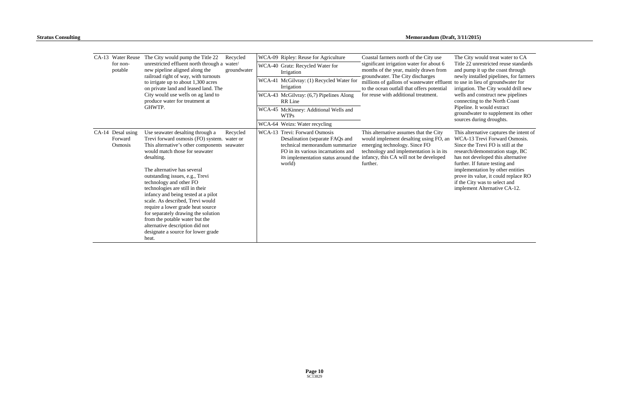e City would treat water to CA tle 22 unrestricted reuse standards d pump it up the coast through newly installed pipelines, for farmers to use in lieu of groundwater for igation. The City would drill new ells and construct new pipelines nnecting to the North Coast peline. It would extract groundwater to supplement its other sources during droughts.

is alternative captures the intent of CA-13 Trevi Forward Osmosis. nce the Trevi FO is still at the earch/demonstration stage, BC s not developed this alternative ther. If future testing and plementation by other entities prove its value, it could replace RO he City was to select and plement Alternative CA-12.

| CA-13 Water Reuse<br>for non-<br>potable | The City would pump the Title 22<br>unrestricted effluent north through a water/<br>new pipeline aligned along the                                                                                                                                                                                                                                                                                                                                                                                                                                                                         | Recycled<br>groundwater | WCA-09 Ripley: Reuse for Agriculture                                                                                                               | Coastal farmers north of the City use                                                                                                                                                                                                                   | The<br>Titl<br>and                                                           |
|------------------------------------------|--------------------------------------------------------------------------------------------------------------------------------------------------------------------------------------------------------------------------------------------------------------------------------------------------------------------------------------------------------------------------------------------------------------------------------------------------------------------------------------------------------------------------------------------------------------------------------------------|-------------------------|----------------------------------------------------------------------------------------------------------------------------------------------------|---------------------------------------------------------------------------------------------------------------------------------------------------------------------------------------------------------------------------------------------------------|------------------------------------------------------------------------------|
|                                          |                                                                                                                                                                                                                                                                                                                                                                                                                                                                                                                                                                                            |                         | WCA-40 Gratz: Recycled Water for<br>Irrigation                                                                                                     | significant irrigation water for about 6<br>months of the year, mainly drawn from                                                                                                                                                                       |                                                                              |
|                                          | railroad right of way, with turnouts<br>to irrigate up to about 1,300 acres<br>on private land and leased land. The                                                                                                                                                                                                                                                                                                                                                                                                                                                                        |                         | WCA-41 McGilvray: (1) Recycled Water for<br>Irrigation                                                                                             | groundwater. The City discharges<br>millions of gallons of wastewater effluent to u<br>to the ocean outfall that offers potential                                                                                                                       | ney<br>irrig                                                                 |
|                                          | City would use wells on ag land to<br>produce water for treatment at                                                                                                                                                                                                                                                                                                                                                                                                                                                                                                                       |                         | WCA-43 McGilvray: (6,7) Pipelines Along<br><b>RR</b> Line                                                                                          | for reuse with additional treatment.                                                                                                                                                                                                                    | wel<br>con                                                                   |
|                                          | GHWTP.                                                                                                                                                                                                                                                                                                                                                                                                                                                                                                                                                                                     |                         | WCA-45 McKinney: Additional Wells and<br><b>WTPs</b>                                                                                               |                                                                                                                                                                                                                                                         | Pip<br>gro<br>sou                                                            |
|                                          |                                                                                                                                                                                                                                                                                                                                                                                                                                                                                                                                                                                            |                         | WCA-64 Weizs: Water recycling                                                                                                                      |                                                                                                                                                                                                                                                         |                                                                              |
| CA-14 Desal using<br>Forward<br>Osmosis  | Use seawater desalting through a<br>Trevi forward osmosis (FO) system. water or<br>This alternative's other components seawater<br>would match those for seawater<br>desalting.<br>The alternative has several<br>outstanding issues, e.g., Trevi<br>technology and other FO<br>technologies are still in their<br>infancy and being tested at a pilot<br>scale. As described, Trevi would<br>require a lower grade heat source<br>for separately drawing the solution<br>from the potable water but the<br>alternative description did not<br>designate a source for lower grade<br>heat. | Recycled                | WCA-13 Trevi: Forward Osmosis<br>Desalination (separate FAQs and<br>technical memorandum summarize<br>FO in its various incarnations and<br>world) | This alternative assumes that the City<br>would implement desalting using FO, an<br>emerging technology. Since FO<br>technology and implementation is in its<br>its implementation status around the infancy, this CA will not be developed<br>further. | Thi<br><b>WC</b><br>Sin<br>rese<br>has<br>furt<br>imp<br>pro<br>if th<br>imp |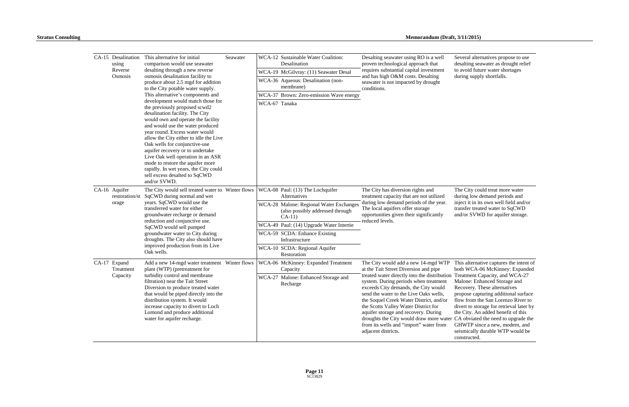|  | CA-15 Desalination<br>using                                                                                                                                                                                                                                                                                                                                                                                                                                                                         | This alternative for initial<br>comparison would use seawater                                                                                                                                                                                                                                                                                                               | Seawater      |  | WCA-12 Sustainable Water Coalition:<br>Desalination                                    | Desalting seawater using RO is a well<br>proven technological approach that                                                                                                                                                                                                                                                                                                                                              | Sev<br>des                                                   |
|--|-----------------------------------------------------------------------------------------------------------------------------------------------------------------------------------------------------------------------------------------------------------------------------------------------------------------------------------------------------------------------------------------------------------------------------------------------------------------------------------------------------|-----------------------------------------------------------------------------------------------------------------------------------------------------------------------------------------------------------------------------------------------------------------------------------------------------------------------------------------------------------------------------|---------------|--|----------------------------------------------------------------------------------------|--------------------------------------------------------------------------------------------------------------------------------------------------------------------------------------------------------------------------------------------------------------------------------------------------------------------------------------------------------------------------------------------------------------------------|--------------------------------------------------------------|
|  | Reverse<br>Osmosis                                                                                                                                                                                                                                                                                                                                                                                                                                                                                  | desalting through a new reverse<br>osmosis desalination facility to                                                                                                                                                                                                                                                                                                         |               |  | WCA-19 McGilvray: (11) Seawater Desal                                                  | requires substantial capital investment<br>and has high O&M costs. Desalting                                                                                                                                                                                                                                                                                                                                             | to a<br>dur                                                  |
|  |                                                                                                                                                                                                                                                                                                                                                                                                                                                                                                     | produce about 2.5 mgd for addition<br>to the City potable water supply.                                                                                                                                                                                                                                                                                                     |               |  | WCA-36 Aqueous: Desalination (non-<br>membrane)                                        | seawater is not impacted by drought<br>conditions.                                                                                                                                                                                                                                                                                                                                                                       |                                                              |
|  |                                                                                                                                                                                                                                                                                                                                                                                                                                                                                                     | This alternative's components and                                                                                                                                                                                                                                                                                                                                           |               |  | WCA-37 Brown: Zero-emission Wave energy                                                |                                                                                                                                                                                                                                                                                                                                                                                                                          |                                                              |
|  | development would match those for<br>the previously proposed scwd2<br>desalination facility. The City<br>would own and operate the facility<br>and would use the water produced<br>year round. Excess water would<br>allow the City either to idle the Live<br>Oak wells for conjunctive-use<br>aquifer recovery or to undertake<br>Live Oak well operation in an ASR<br>mode to restore the aquifer more<br>rapidly. In wet years, the City could<br>sell excess desalted to SqCWD<br>and/or SVWD. |                                                                                                                                                                                                                                                                                                                                                                             | WCA-67 Tanaka |  |                                                                                        |                                                                                                                                                                                                                                                                                                                                                                                                                          |                                                              |
|  | CA-16 Aquifer<br>restoration/st                                                                                                                                                                                                                                                                                                                                                                                                                                                                     | The City would sell treated water to Winter flows<br>SqCWD during normal and wet<br>years. SqCWD would use the<br>transferred water for either<br>groundwater recharge or demand<br>reduction and conjunctive use.<br>SqCWD would sell pumped<br>groundwater water to City during<br>droughts. The City also should have<br>improved production from its Live<br>Oak wells. |               |  | WCA-08 Paul: (13) The Lochquifer<br>Alternatives                                       | The City has diversion rights and<br>treatment capacity that are not utilized<br>during low demand periods of the year.<br>The local aquifers offer storage<br>opportunities given their significantly<br>reduced levels.                                                                                                                                                                                                | The<br>dur                                                   |
|  | orage                                                                                                                                                                                                                                                                                                                                                                                                                                                                                               |                                                                                                                                                                                                                                                                                                                                                                             |               |  | WCA-28 Malone: Regional Water Exchanges<br>(also possibly addressed through<br>$CA-11$ |                                                                                                                                                                                                                                                                                                                                                                                                                          | inje<br>trar<br>and                                          |
|  |                                                                                                                                                                                                                                                                                                                                                                                                                                                                                                     |                                                                                                                                                                                                                                                                                                                                                                             |               |  | WCA-49 Paul: (14) Upgrade Water Intertie                                               |                                                                                                                                                                                                                                                                                                                                                                                                                          |                                                              |
|  |                                                                                                                                                                                                                                                                                                                                                                                                                                                                                                     |                                                                                                                                                                                                                                                                                                                                                                             |               |  | WCA-59 SCDA: Enhance Existing<br>Infrastructure                                        |                                                                                                                                                                                                                                                                                                                                                                                                                          |                                                              |
|  |                                                                                                                                                                                                                                                                                                                                                                                                                                                                                                     |                                                                                                                                                                                                                                                                                                                                                                             |               |  | WCA-10 SCDA: Regional Aquifer<br>Restoration                                           |                                                                                                                                                                                                                                                                                                                                                                                                                          |                                                              |
|  | CA-17 Expand<br>Treatment                                                                                                                                                                                                                                                                                                                                                                                                                                                                           | Add a new 14-mgd water treatment Winter flows<br>plant (WTP) (pretreatment for                                                                                                                                                                                                                                                                                              |               |  | WCA-06 McKinney: Expanded Treatment<br>Capacity                                        | The City would add a new 14-mgd WTP Thi<br>at the Tait Street Diversion and pipe                                                                                                                                                                                                                                                                                                                                         | bot                                                          |
|  | Capacity                                                                                                                                                                                                                                                                                                                                                                                                                                                                                            | turbidity control and membrane<br>filtration) near the Tait Street<br>Diversion to produce treated water<br>that would be piped directly into the<br>distribution system. It would<br>increase capacity to divert to Loch<br>Lomond and produce additional<br>water for aquifer recharge.                                                                                   |               |  | WCA-27 Malone: Enhanced Storage and<br>Recharge                                        | treated water directly into the distribution Tre<br>system. During periods when treatment Ma<br>exceeds City demands, the City would<br>send the water to the Live Oaks wells,<br>the Soquel Creek Water District, and/or<br>the Scotts Valley Water District for<br>aquifer storage and recovery. During<br>droughts the City would draw more water CA<br>from its wells and "import" water from<br>adjacent districts. | Rec<br>pro<br>flow<br>div<br>the<br><b>GH</b><br>seis<br>con |

veral alternatives propose to use salting seawater as drought relief avoid future water shortages ring supply shortfalls.

ne City could treat more water ring low demand periods and ject it in its own well field and/or Insfer treated water to SqCWD d/or SVWD for aquifer storage.

is alternative captures the intent of th WCA-06 McKinney: Expanded eatment Capacity, and WCA-27 alone: Enhanced Storage and ecovery. These alternatives opose capturing additional surface w from the San Lorenzo River to vert to storage for retrieval later by the City. An added benefit of this  $\Delta$  obviated the need to upgrade the HWTP since a new, modern, and ismically durable WTP would be nstructed.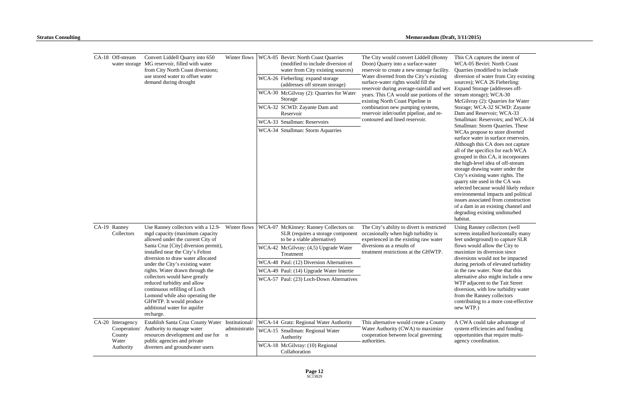| CA-18 Off-stream | water storage                   | Convert Liddell Quarry into 650<br>MG reservoir, filled with water<br>from City North Coast diversions;                                                                                                                                                                                                                    | Winter flows                 | WCA-05 Bevirt: North Coast Quarries<br>(modified to include diversion of<br>water from City existing sources) | The City would convert Liddell (Bonny<br>Doon) Quarry into a surface-water<br>reservoir to create a new storage facility.           | Thi:<br>WC<br>Qua                                                                                               |
|------------------|---------------------------------|----------------------------------------------------------------------------------------------------------------------------------------------------------------------------------------------------------------------------------------------------------------------------------------------------------------------------|------------------------------|---------------------------------------------------------------------------------------------------------------|-------------------------------------------------------------------------------------------------------------------------------------|-----------------------------------------------------------------------------------------------------------------|
|                  |                                 | use stored water to offset water<br>demand during drought                                                                                                                                                                                                                                                                  |                              | WCA-26 Fieberling: expand storage<br>(addresses off stream storage)                                           | Water diverted from the City's existing<br>surface-water rights would fill the                                                      | dive<br>sou                                                                                                     |
|                  |                                 |                                                                                                                                                                                                                                                                                                                            |                              | WCA-30 McGilvray (2): Quarries for Water<br>Storage                                                           | reservoir during average-rainfall and wet Exp<br>years. This CA would use portions of the strea<br>existing North Coast Pipeline in | Mc                                                                                                              |
|                  |                                 |                                                                                                                                                                                                                                                                                                                            |                              | WCA-32 SCWD: Zayante Dam and<br>Reservoir                                                                     | combination new pumping systems,<br>reservoir inlet/outlet pipeline, and re-                                                        | Stor<br>Dar                                                                                                     |
|                  |                                 |                                                                                                                                                                                                                                                                                                                            |                              | WCA-33 Smallman: Reservoirs                                                                                   | contoured and lined reservoir.                                                                                                      | Sma<br>Sma                                                                                                      |
|                  |                                 |                                                                                                                                                                                                                                                                                                                            |                              | WCA-34 Smallman: Storm Aquarries                                                                              |                                                                                                                                     | <b>WC</b><br>surf<br>Altl<br>all o<br>grou<br>the<br>stor<br>City<br>qua<br>sele<br>env:<br>issu<br>of a<br>deg |
|                  | CA-19 Ranney<br>Collectors      | Use Ranney collectors with a 12.9-                                                                                                                                                                                                                                                                                         | Winter flows                 | WCA-07 McKinney: Ranney Collectors on<br>SLR (requires a storage component                                    | The City's ability to divert is restricted<br>occasionally when high turbidity is                                                   | hab<br>Usii                                                                                                     |
|                  |                                 | mgd capacity (maximum capacity<br>allowed under the current City of<br>Santa Cruz [City] diversion permit),<br>installed near the City's Felton<br>diversion to draw water allocated<br>under the City's existing water<br>rights. Water drawn through the<br>collectors would have greatly<br>reduced turbidity and allow |                              | to be a viable alternative)                                                                                   | experienced in the existing raw water                                                                                               | scre<br>feet                                                                                                    |
|                  |                                 |                                                                                                                                                                                                                                                                                                                            |                              | WCA-42 McGilvray: (4,5) Upgrade Water<br>Treatment                                                            | diversions as a results of<br>treatment restrictions at the GHWTP.                                                                  | floy<br>max                                                                                                     |
|                  |                                 |                                                                                                                                                                                                                                                                                                                            |                              | WCA-48 Paul: (12) Diversion Alternatives                                                                      |                                                                                                                                     | dive<br>duri                                                                                                    |
|                  |                                 |                                                                                                                                                                                                                                                                                                                            |                              | WCA-49 Paul: (14) Upgrade Water Intertie                                                                      |                                                                                                                                     | in th                                                                                                           |
|                  |                                 |                                                                                                                                                                                                                                                                                                                            |                              | WCA-57 Paul: (23) Loch-Down Alternatives                                                                      |                                                                                                                                     | alte:<br><b>WT</b>                                                                                              |
|                  |                                 | continuous refilling of Loch                                                                                                                                                                                                                                                                                               |                              |                                                                                                               |                                                                                                                                     | dive                                                                                                            |
|                  |                                 | Lomond while also operating the<br>GHWTP. It would produce                                                                                                                                                                                                                                                                 |                              |                                                                                                               |                                                                                                                                     | fron<br>con                                                                                                     |
|                  |                                 | additional water for aquifer<br>recharge.                                                                                                                                                                                                                                                                                  |                              |                                                                                                               |                                                                                                                                     | new                                                                                                             |
|                  | CA-20 Interagency               | Establish Santa Cruz County Water Institutional/                                                                                                                                                                                                                                                                           |                              | WCA-14 Gratz: Regional Water Authority                                                                        | This alternative would create a County                                                                                              | A C                                                                                                             |
|                  | Cooperation/<br>County<br>Water | Authority to manage water<br>resources development and use for                                                                                                                                                                                                                                                             | administratio<br>$\mathbf n$ | WCA-15 Smallman: Regional Water<br>Authority                                                                  | Water Authority (CWA) to maximize<br>cooperation between local governing<br>authorities.                                            | syst<br>opp                                                                                                     |
|                  | Authority                       | public agencies and private<br>diverters and groundwater users                                                                                                                                                                                                                                                             |                              | WCA-18 McGilvray: (10) Regional<br>Collaboration                                                              |                                                                                                                                     | age                                                                                                             |

is CA captures the intent of CA-05 Bevirt: North Coast arries (modified to include ersion of water from City existing  $rces$ ); WCA 26 Fieberling: band Storage (addresses offeam storage); WCA-30 Gilvray (2): Quarries for Water rage; WCA-32 SCWD: Zayante m and Reservoir; WCA-33 allman: Reservoirs; and WCA-34 allman: Storm Quarries. These CAs propose to store diverted face water in surface reservoirs. hough this CA does not capture of the specifics for each WCA uped in this CA, it incorporates high-level idea of off-stream rage drawing water under the y's existing water rights. The rry site used in the  $CA$  was ected because would likely reduce ironmental impacts and political ies associated from construction dam in an existing channel and rading existing undisturbed itat.

ng Ranney collectors (well screens installed horizontally many inderground) to capture SLR ws would allow the City to simize its diversion since ersions would not be impacted ing periods of elevated turbidity he raw water. Note that this rnative also might include a new TP adjacent to the Tait Street ersion, with low turbidity water m the Ranney collectors tributing to a more cost-effective  $\sqrt{NTP}$ .)

WA could take advantage of tem efficiencies and funding ortunities that require multincy coordination.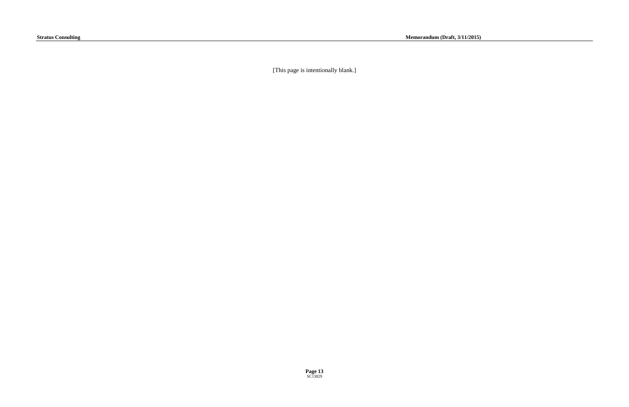[This page is intentionally blank.]